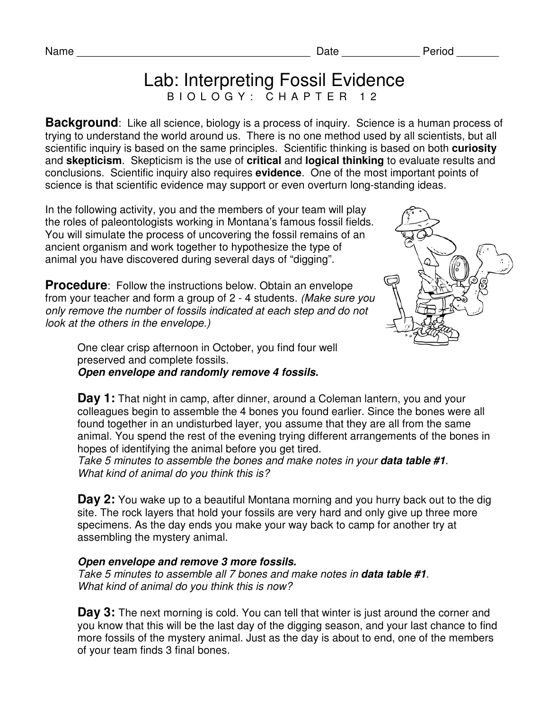Name **Name Name Name Name Name Name Date** *Period* 

## Lab: Interpreting Fossil Evidence B I O L O G Y : C H A P T E R 1 2

**Background**: Like all science, biology is a process of inquiry. Science is a human process of trying to understand the world around us. There is no one method used by all scientists, but all scientific inquiry is based on the same principles. Scientific thinking is based on both **curiosity** and **skepticism**. Skepticism is the use of **critical** and **logical thinking** to evaluate results and conclusions. Scientific inquiry also requires **evidence**. One of the most important points of science is that scientific evidence may support or even overturn long-standing ideas.

In the following activity, you and the members of your team will play the roles of paleontologists working in Montana's famous fossil fields. You will simulate the process of uncovering the fossil remains of an ancient organism and work together to hypothesize the type of animal you have discovered during several days of "digging".

**Procedure**: Follow the instructions below. Obtain an envelope from your teacher and form a group of 2 - 4 students. (Make sure you only remove the number of fossils indicated at each step and do not look at the others in the envelope.)



One clear crisp afternoon in October, you find four well preserved and complete fossils. **Open envelope and randomly remove 4 fossils.** 

**Day 1:** That night in camp, after dinner, around a Coleman lantern, you and your colleagues begin to assemble the 4 bones you found earlier. Since the bones were all found together in an undisturbed layer, you assume that they are all from the same animal. You spend the rest of the evening trying different arrangements of the bones in hopes of identifying the animal before you get tired.

Take 5 minutes to assemble the bones and make notes in your **data table #1**. What kind of animal do you think this is?

**Day 2:** You wake up to a beautiful Montana morning and you hurry back out to the dig site. The rock layers that hold your fossils are very hard and only give up three more specimens. As the day ends you make your way back to camp for another try at assembling the mystery animal.

## **Open envelope and remove 3 more fossils.**

Take 5 minutes to assemble all 7 bones and make notes in **data table #1**. What kind of animal do you think this is now?

**Day 3:** The next morning is cold. You can tell that winter is just around the corner and you know that this will be the last day of the digging season, and your last chance to find more fossils of the mystery animal. Just as the day is about to end, one of the members of your team finds 3 final bones.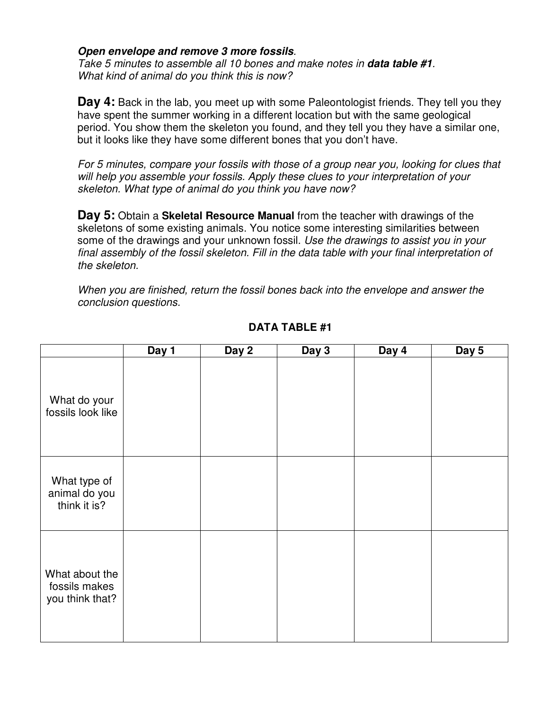## **Open envelope and remove 3 more fossils**.

Take 5 minutes to assemble all 10 bones and make notes in **data table #1**. What kind of animal do you think this is now?

**Day 4:** Back in the lab, you meet up with some Paleontologist friends. They tell you they have spent the summer working in a different location but with the same geological period. You show them the skeleton you found, and they tell you they have a similar one, but it looks like they have some different bones that you don't have.

For 5 minutes, compare your fossils with those of a group near you, looking for clues that will help you assemble your fossils. Apply these clues to your interpretation of your skeleton. What type of animal do you think you have now?

**Day 5:** Obtain a **Skeletal Resource Manual** from the teacher with drawings of the skeletons of some existing animals. You notice some interesting similarities between some of the drawings and your unknown fossil. Use the drawings to assist you in your final assembly of the fossil skeleton. Fill in the data table with your final interpretation of the skeleton.

When you are finished, return the fossil bones back into the envelope and answer the conclusion questions.

|                                                    | Day 1 | Day 2 | Day 3 | Day 4 | Day 5 |
|----------------------------------------------------|-------|-------|-------|-------|-------|
| What do your<br>fossils look like                  |       |       |       |       |       |
| What type of<br>animal do you<br>think it is?      |       |       |       |       |       |
| What about the<br>fossils makes<br>you think that? |       |       |       |       |       |

## **DATA TABLE #1**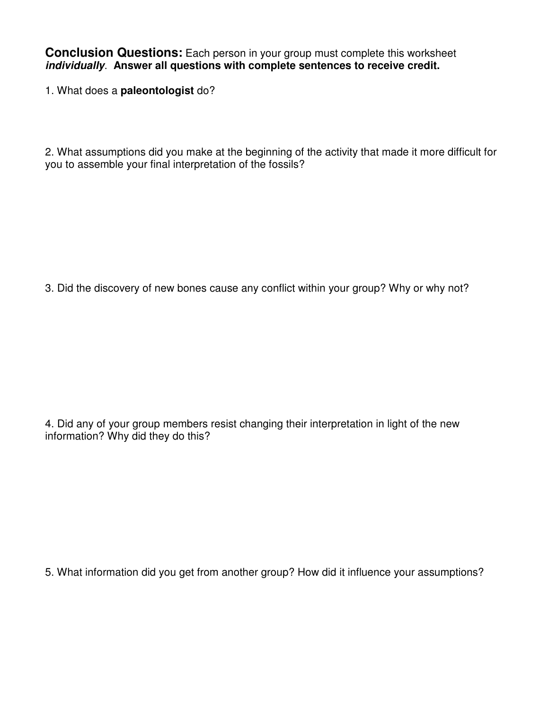**Conclusion Questions:** Each person in your group must complete this worksheet **individually**. **Answer all questions with complete sentences to receive credit.** 

1. What does a **paleontologist** do?

2. What assumptions did you make at the beginning of the activity that made it more difficult for you to assemble your final interpretation of the fossils?

3. Did the discovery of new bones cause any conflict within your group? Why or why not?

4. Did any of your group members resist changing their interpretation in light of the new information? Why did they do this?

5. What information did you get from another group? How did it influence your assumptions?